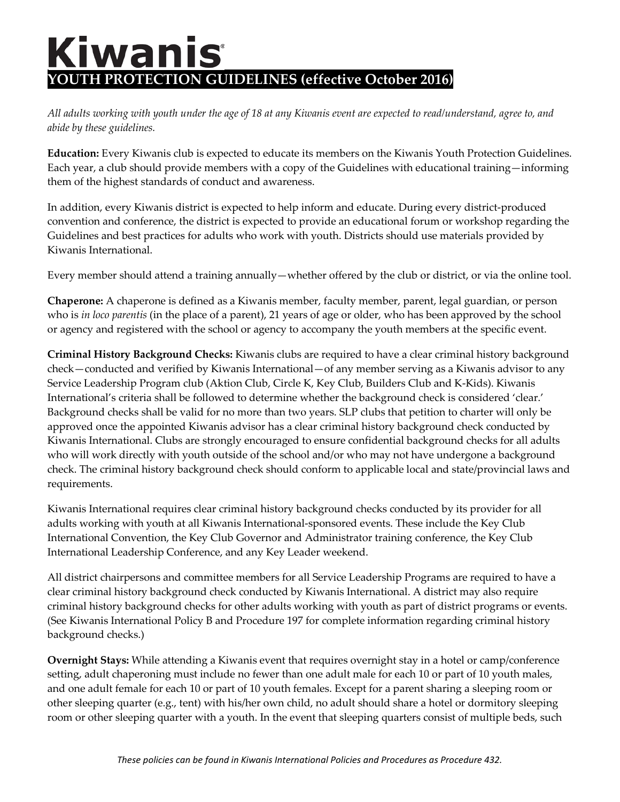## **Kiwanis YOUTH PROTECTION GUIDELINES (effective October 2016)**

*All adults working with youth under the age of 18 at any Kiwanis event are expected to read/understand, agree to, and abide by these guidelines.*

**Education:** Every Kiwanis club is expected to educate its members on the Kiwanis Youth Protection Guidelines. Each year, a club should provide members with a copy of the Guidelines with educational training—informing them of the highest standards of conduct and awareness.

In addition, every Kiwanis district is expected to help inform and educate. During every district-produced convention and conference, the district is expected to provide an educational forum or workshop regarding the Guidelines and best practices for adults who work with youth. Districts should use materials provided by Kiwanis International.

Every member should attend a training annually—whether offered by the club or district, or via the online tool.

**Chaperone:** A chaperone is defined as a Kiwanis member, faculty member, parent, legal guardian, or person who is *in loco parentis* (in the place of a parent), 21 years of age or older, who has been approved by the school or agency and registered with the school or agency to accompany the youth members at the specific event.

**Criminal History Background Checks:** Kiwanis clubs are required to have a clear criminal history background check—conducted and verified by Kiwanis International—of any member serving as a Kiwanis advisor to any Service Leadership Program club (Aktion Club, Circle K, Key Club, Builders Club and K-Kids). Kiwanis International's criteria shall be followed to determine whether the background check is considered 'clear.' Background checks shall be valid for no more than two years. SLP clubs that petition to charter will only be approved once the appointed Kiwanis advisor has a clear criminal history background check conducted by Kiwanis International. Clubs are strongly encouraged to ensure confidential background checks for all adults who will work directly with youth outside of the school and/or who may not have undergone a background check. The criminal history background check should conform to applicable local and state/provincial laws and requirements.

Kiwanis International requires clear criminal history background checks conducted by its provider for all adults working with youth at all Kiwanis International-sponsored events. These include the Key Club International Convention, the Key Club Governor and Administrator training conference, the Key Club International Leadership Conference, and any Key Leader weekend.

All district chairpersons and committee members for all Service Leadership Programs are required to have a clear criminal history background check conducted by Kiwanis International. A district may also require criminal history background checks for other adults working with youth as part of district programs or events. (See Kiwanis International Policy B and Procedure 197 for complete information regarding criminal history background checks.)

**Overnight Stays:** While attending a Kiwanis event that requires overnight stay in a hotel or camp/conference setting, adult chaperoning must include no fewer than one adult male for each 10 or part of 10 youth males, and one adult female for each 10 or part of 10 youth females. Except for a parent sharing a sleeping room or other sleeping quarter (e.g., tent) with his/her own child, no adult should share a hotel or dormitory sleeping room or other sleeping quarter with a youth. In the event that sleeping quarters consist of multiple beds, such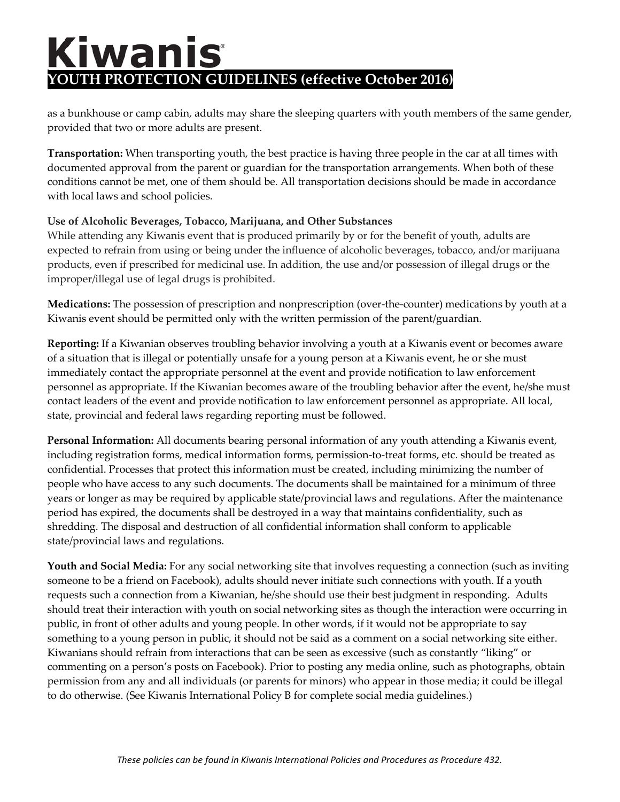## Kiwanis **YOUTH PROTECTION GUIDELINES (effective October 2016)**

as a bunkhouse or camp cabin, adults may share the sleeping quarters with youth members of the same gender, provided that two or more adults are present.

**Transportation:** When transporting youth, the best practice is having three people in the car at all times with documented approval from the parent or guardian for the transportation arrangements. When both of these conditions cannot be met, one of them should be. All transportation decisions should be made in accordance with local laws and school policies.

## **Use of Alcoholic Beverages, Tobacco, Marijuana, and Other Substances**

While attending any Kiwanis event that is produced primarily by or for the benefit of youth, adults are expected to refrain from using or being under the influence of alcoholic beverages, tobacco, and/or marijuana products, even if prescribed for medicinal use. In addition, the use and/or possession of illegal drugs or the improper/illegal use of legal drugs is prohibited.

**Medications:** The possession of prescription and nonprescription (over-the-counter) medications by youth at a Kiwanis event should be permitted only with the written permission of the parent/guardian.

**Reporting:** If a Kiwanian observes troubling behavior involving a youth at a Kiwanis event or becomes aware of a situation that is illegal or potentially unsafe for a young person at a Kiwanis event, he or she must immediately contact the appropriate personnel at the event and provide notification to law enforcement personnel as appropriate. If the Kiwanian becomes aware of the troubling behavior after the event, he/she must contact leaders of the event and provide notification to law enforcement personnel as appropriate. All local, state, provincial and federal laws regarding reporting must be followed.

**Personal Information:** All documents bearing personal information of any youth attending a Kiwanis event, including registration forms, medical information forms, permission-to-treat forms, etc. should be treated as confidential. Processes that protect this information must be created, including minimizing the number of people who have access to any such documents. The documents shall be maintained for a minimum of three years or longer as may be required by applicable state/provincial laws and regulations. After the maintenance period has expired, the documents shall be destroyed in a way that maintains confidentiality, such as shredding. The disposal and destruction of all confidential information shall conform to applicable state/provincial laws and regulations.

**Youth and Social Media:** For any social networking site that involves requesting a connection (such as inviting someone to be a friend on Facebook), adults should never initiate such connections with youth. If a youth requests such a connection from a Kiwanian, he/she should use their best judgment in responding. Adults should treat their interaction with youth on social networking sites as though the interaction were occurring in public, in front of other adults and young people. In other words, if it would not be appropriate to say something to a young person in public, it should not be said as a comment on a social networking site either. Kiwanians should refrain from interactions that can be seen as excessive (such as constantly "liking" or commenting on a person's posts on Facebook). Prior to posting any media online, such as photographs, obtain permission from any and all individuals (or parents for minors) who appear in those media; it could be illegal to do otherwise. (See Kiwanis International Policy B for complete social media guidelines.)